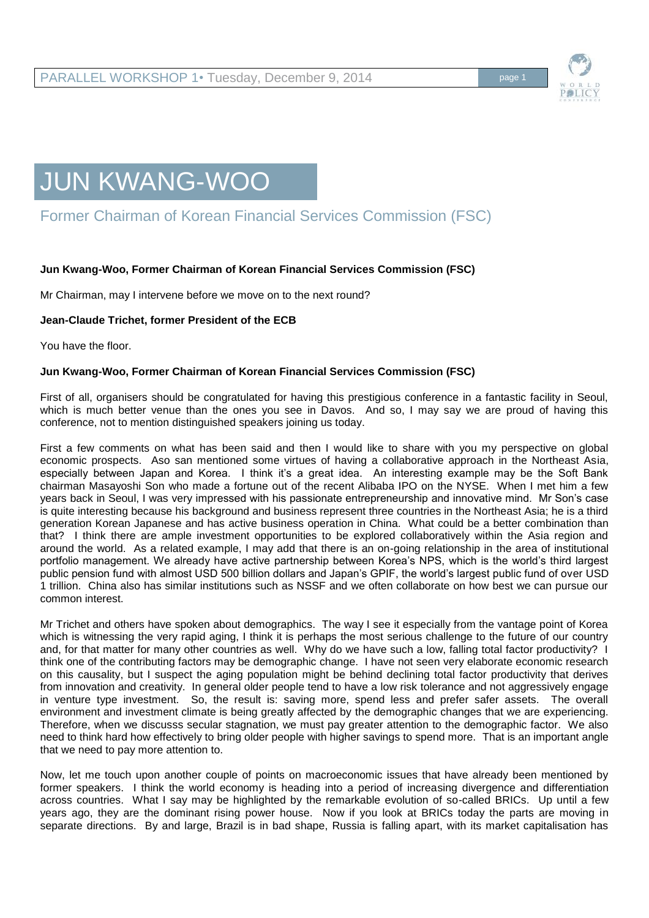

# JUN KWANG-WOO

# Former Chairman of Korean Financial Services Commission (FSC)

## **Jun Kwang-Woo, Former Chairman of Korean Financial Services Commission (FSC)**

Mr Chairman, may I intervene before we move on to the next round?

#### **Jean-Claude Trichet, former President of the ECB**

You have the floor.

#### **Jun Kwang-Woo, Former Chairman of Korean Financial Services Commission (FSC)**

First of all, organisers should be congratulated for having this prestigious conference in a fantastic facility in Seoul, which is much better venue than the ones you see in Davos. And so, I may say we are proud of having this conference, not to mention distinguished speakers joining us today.

First a few comments on what has been said and then I would like to share with you my perspective on global economic prospects. Aso san mentioned some virtues of having a collaborative approach in the Northeast Asia, especially between Japan and Korea. I think it's a great idea. An interesting example may be the Soft Bank chairman Masayoshi Son who made a fortune out of the recent Alibaba IPO on the NYSE. When I met him a few years back in Seoul, I was very impressed with his passionate entrepreneurship and innovative mind. Mr Son's case is quite interesting because his background and business represent three countries in the Northeast Asia; he is a third generation Korean Japanese and has active business operation in China. What could be a better combination than that? I think there are ample investment opportunities to be explored collaboratively within the Asia region and around the world. As a related example, I may add that there is an on-going relationship in the area of institutional portfolio management. We already have active partnership between Korea's NPS, which is the world's third largest public pension fund with almost USD 500 billion dollars and Japan's GPIF, the world's largest public fund of over USD 1 trillion. China also has similar institutions such as NSSF and we often collaborate on how best we can pursue our common interest.

Mr Trichet and others have spoken about demographics. The way I see it especially from the vantage point of Korea which is witnessing the very rapid aging, I think it is perhaps the most serious challenge to the future of our country and, for that matter for many other countries as well. Why do we have such a low, falling total factor productivity? I think one of the contributing factors may be demographic change. I have not seen very elaborate economic research on this causality, but I suspect the aging population might be behind declining total factor productivity that derives from innovation and creativity. In general older people tend to have a low risk tolerance and not aggressively engage in venture type investment. So, the result is: saving more, spend less and prefer safer assets. The overall environment and investment climate is being greatly affected by the demographic changes that we are experiencing. Therefore, when we discusss secular stagnation, we must pay greater attention to the demographic factor. We also need to think hard how effectively to bring older people with higher savings to spend more. That is an important angle that we need to pay more attention to.

Now, let me touch upon another couple of points on macroeconomic issues that have already been mentioned by former speakers. I think the world economy is heading into a period of increasing divergence and differentiation across countries. What I say may be highlighted by the remarkable evolution of so-called BRICs. Up until a few years ago, they are the dominant rising power house. Now if you look at BRICs today the parts are moving in separate directions. By and large, Brazil is in bad shape, Russia is falling apart, with its market capitalisation has